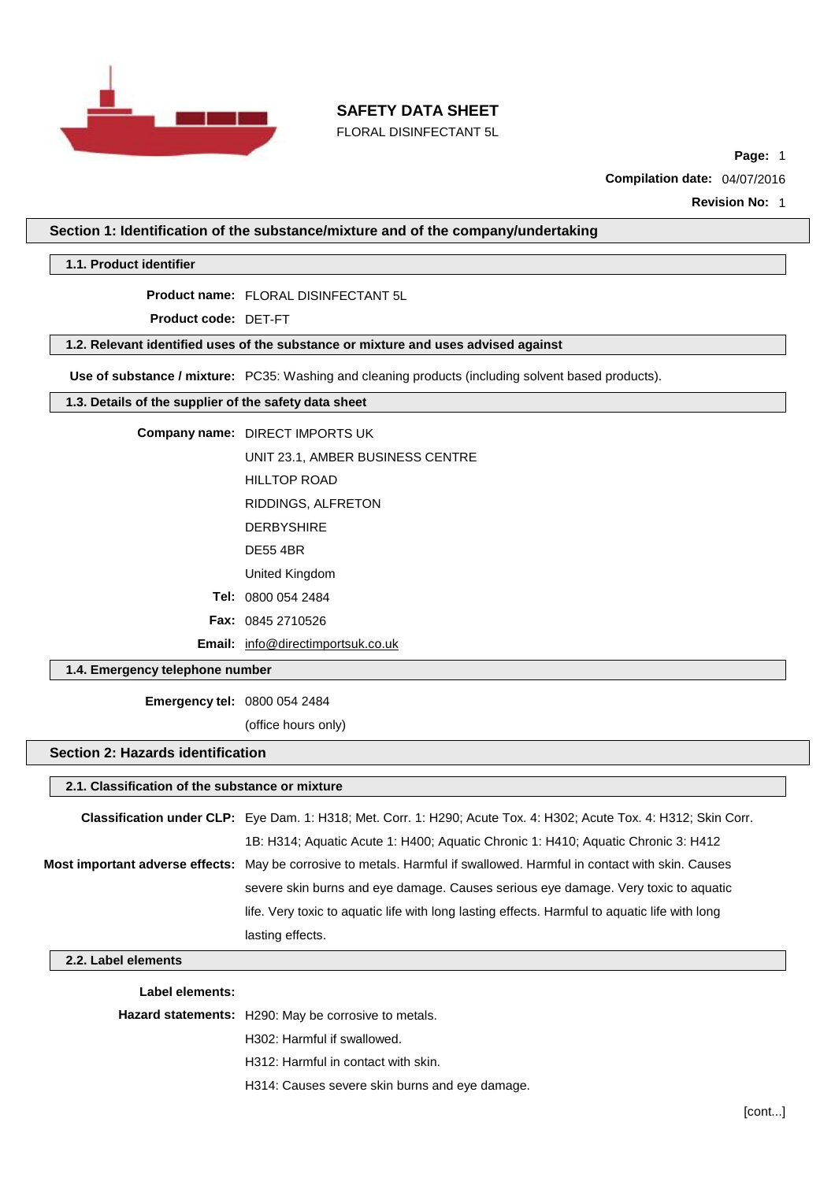

FLORAL DISINFECTANT 5L

**Page:** 1

**Compilation date:** 04/07/2016

**Revision No:** 1

**Section 1: Identification of the substance/mixture and of the company/undertaking**

**1.1. Product identifier**

**Product name:** FLORAL DISINFECTANT 5L

**Product code:** DET-FT

## **1.2. Relevant identified uses of the substance or mixture and uses advised against**

**Use of substance / mixture:** PC35: Washing and cleaning products (including solvent based products).

### **1.3. Details of the supplier of the safety data sheet**

**Company name:** DIRECT IMPORTS UK

UNIT 23.1, AMBER BUSINESS CENTRE

HILLTOP ROAD

RIDDINGS, ALFRETON

- DERBYSHIRE
- DE55 4BR

United Kingdom

**Tel:** 0800 054 2484

**Fax:** 0845 2710526

**Email:** [info@directimportsuk.co.uk](mailto:info@directimportsuk.co.uk)

## **1.4. Emergency telephone number**

**Emergency tel:** 0800 054 2484

(office hours only)

### **Section 2: Hazards identification**

## **2.1. Classification of the substance or mixture**

| Classification under CLP: Eye Dam. 1: H318; Met. Corr. 1: H290; Acute Tox. 4: H302; Acute Tox. 4: H312; Skin Corr.     |
|------------------------------------------------------------------------------------------------------------------------|
| 1B: H314; Aquatic Acute 1: H400; Aquatic Chronic 1: H410; Aquatic Chronic 3: H412                                      |
| Most important adverse effects: May be corrosive to metals. Harmful if swallowed. Harmful in contact with skin. Causes |
| severe skin burns and eye damage. Causes serious eye damage. Very toxic to aquatic                                     |
| life. Very toxic to aquatic life with long lasting effects. Harmful to aquatic life with long                          |
| lasting effects.                                                                                                       |

### **2.2. Label elements**

#### **Label elements:**

**Hazard statements:** H290: May be corrosive to metals.

H302: Harmful if swallowed.

- H312: Harmful in contact with skin.
- H314: Causes severe skin burns and eye damage.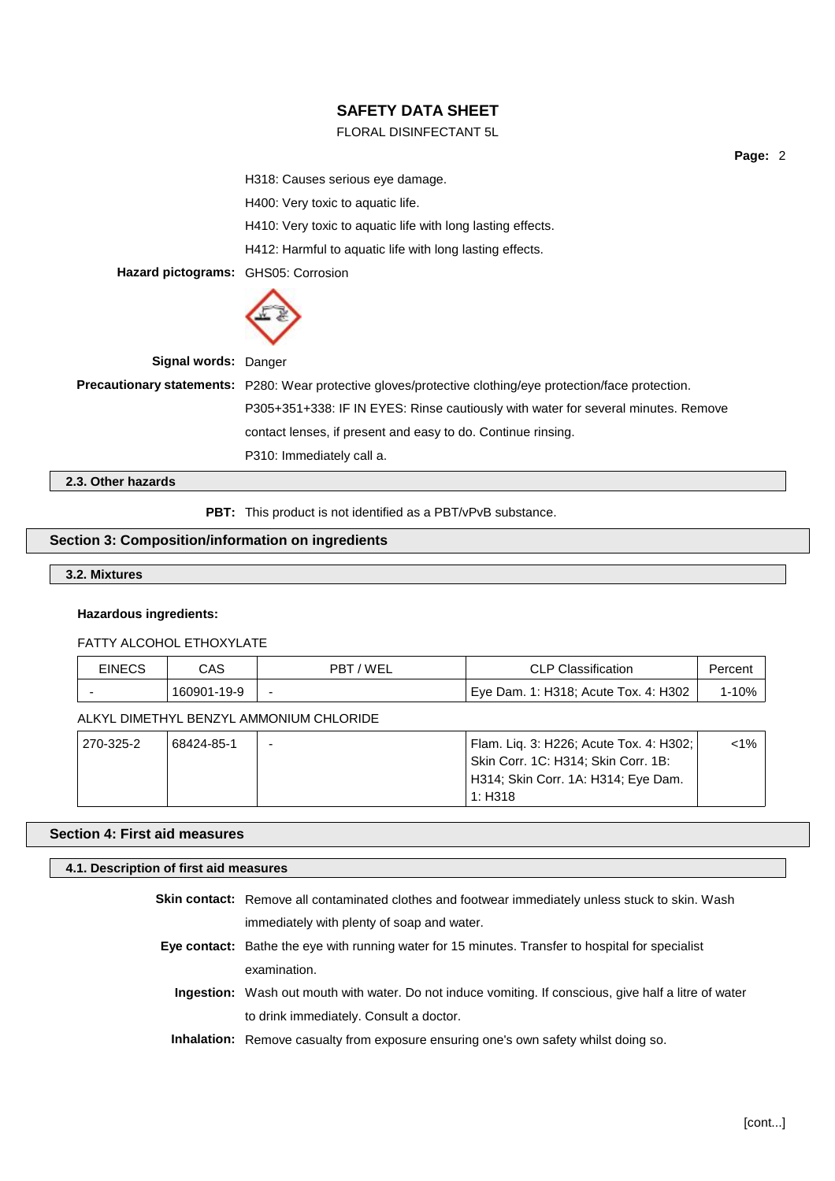### FLORAL DISINFECTANT 5L

**Page:** 2 H318: Causes serious eye damage. H400: Very toxic to aquatic life. H410: Very toxic to aquatic life with long lasting effects. H412: Harmful to aquatic life with long lasting effects. **Hazard pictograms:** GHS05: Corrosion **Signal words:** Danger **Precautionary statements:** P280: Wear protective gloves/protective clothing/eye protection/face protection. P305+351+338: IF IN EYES: Rinse cautiously with water for several minutes. Remove contact lenses, if present and easy to do. Continue rinsing. P310: Immediately call a.

**2.3. Other hazards**

**PBT:** This product is not identified as a PBT/vPvB substance.

### **Section 3: Composition/information on ingredients**

## **3.2. Mixtures**

### **Hazardous ingredients:**

### FATTY ALCOHOL ETHOXYLATE

| <b>EINECS</b>                           | CAS.        | PBT/WEL                  | <b>CLP Classification</b>                                                                                                        | Percent   |
|-----------------------------------------|-------------|--------------------------|----------------------------------------------------------------------------------------------------------------------------------|-----------|
|                                         | 160901-19-9 | $\overline{\phantom{0}}$ | Eye Dam. 1: H318; Acute Tox. 4: H302                                                                                             | $1 - 10%$ |
| ALKYL DIMETHYL BENZYL AMMONIUM CHLORIDE |             |                          |                                                                                                                                  |           |
| 270-325-2                               | 68424-85-1  | -                        | Flam. Liq. 3: H226; Acute Tox. 4: H302;<br>Skin Corr. 1C: H314; Skin Corr. 1B:<br>H314; Skin Corr. 1A: H314; Eye Dam.<br>1: H318 | $< 1\%$   |

### **Section 4: First aid measures**

### **4.1. Description of first aid measures**

| <b>Skin contact:</b> Remove all contaminated clothes and footwear immediately unless stuck to skin. Wash      |
|---------------------------------------------------------------------------------------------------------------|
| immediately with plenty of soap and water.                                                                    |
| Eye contact: Bathe the eye with running water for 15 minutes. Transfer to hospital for specialist             |
| examination.                                                                                                  |
| <b>Ingestion:</b> Wash out mouth with water. Do not induce vomiting. If conscious, give half a litre of water |
| to drink immediately. Consult a doctor.                                                                       |
| <b>Inhalation:</b> Remove casualty from exposure ensuring one's own safety whilst doing so.                   |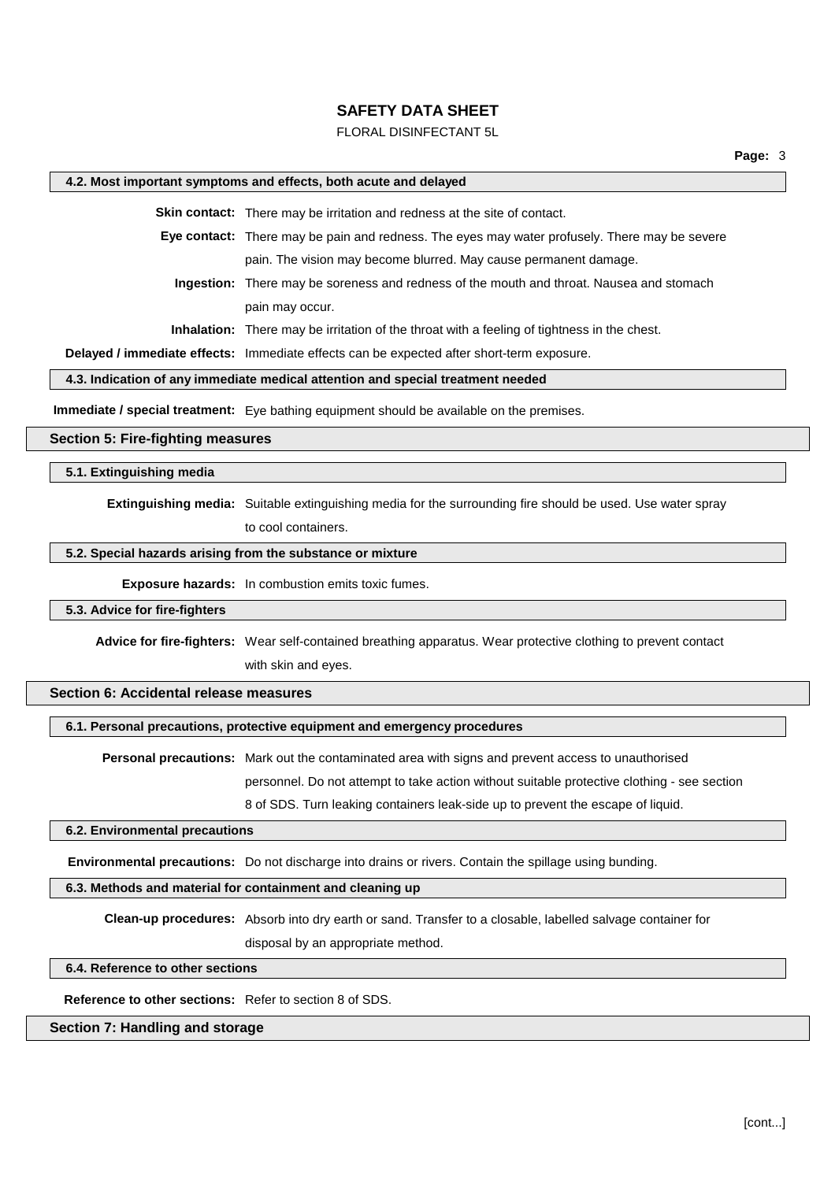### FLORAL DISINFECTANT 5L

#### **4.2. Most important symptoms and effects, both acute and delayed**

**Skin contact:** There may be irritation and redness at the site of contact.

**Eye contact:** There may be pain and redness. The eyes may water profusely. There may be severe pain. The vision may become blurred. May cause permanent damage.

**Ingestion:** There may be soreness and redness of the mouth and throat. Nausea and stomach pain may occur.

**Inhalation:** There may be irritation of the throat with a feeling of tightness in the chest.

**Delayed / immediate effects:** Immediate effects can be expected after short-term exposure.

## **4.3. Indication of any immediate medical attention and special treatment needed**

**Immediate / special treatment:** Eye bathing equipment should be available on the premises.

#### **Section 5: Fire-fighting measures**

#### **5.1. Extinguishing media**

**Extinguishing media:** Suitable extinguishing media for the surrounding fire should be used. Use water spray

to cool containers.

### **5.2. Special hazards arising from the substance or mixture**

**Exposure hazards:** In combustion emits toxic fumes.

### **5.3. Advice for fire-fighters**

**Advice for fire-fighters:** Wear self-contained breathing apparatus. Wear protective clothing to prevent contact

with skin and eyes.

## **Section 6: Accidental release measures**

#### **6.1. Personal precautions, protective equipment and emergency procedures**

**Personal precautions:** Mark out the contaminated area with signs and prevent access to unauthorised personnel. Do not attempt to take action without suitable protective clothing - see section 8 of SDS. Turn leaking containers leak-side up to prevent the escape of liquid.

#### **6.2. Environmental precautions**

**Environmental precautions:** Do not discharge into drains or rivers. Contain the spillage using bunding.

#### **6.3. Methods and material for containment and cleaning up**

**Clean-up procedures:** Absorb into dry earth or sand. Transfer to a closable, labelled salvage container for

disposal by an appropriate method.

#### **6.4. Reference to other sections**

**Reference to other sections:** Refer to section 8 of SDS.

#### **Section 7: Handling and storage**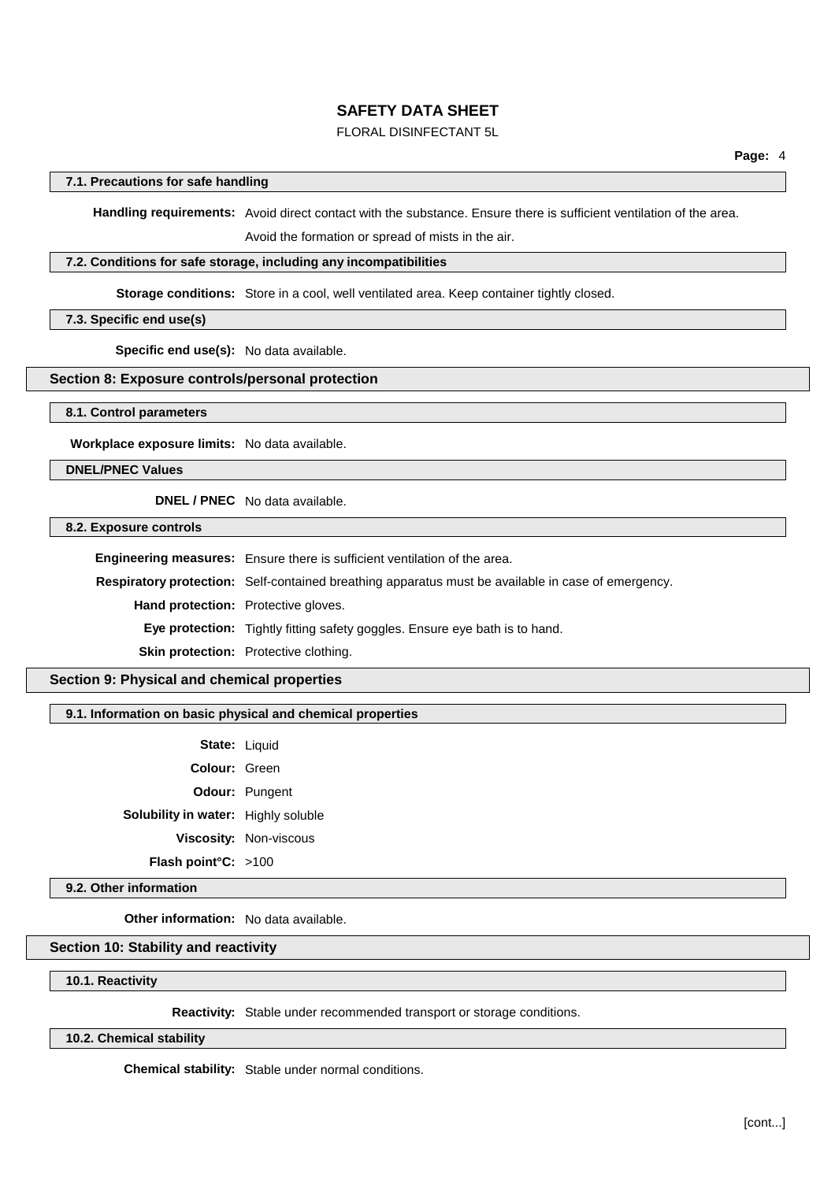## FLORAL DISINFECTANT 5L

#### **7.1. Precautions for safe handling**

**Handling requirements:** Avoid direct contact with the substance. Ensure there is sufficient ventilation of the area.

Avoid the formation or spread of mists in the air.

#### **7.2. Conditions for safe storage, including any incompatibilities**

**Storage conditions:** Store in a cool, well ventilated area. Keep container tightly closed.

### **7.3. Specific end use(s)**

**Specific end use(s):** No data available.

### **Section 8: Exposure controls/personal protection**

**8.1. Control parameters**

**Workplace exposure limits:** No data available.

**DNEL/PNEC Values**

#### **DNEL / PNEC** No data available.

**8.2. Exposure controls**

**Engineering measures:** Ensure there is sufficient ventilation of the area. **Respiratory protection:** Self-contained breathing apparatus must be available in case of emergency. **Hand protection:** Protective gloves. **Eye protection:** Tightly fitting safety goggles. Ensure eye bath is to hand. **Skin protection:** Protective clothing.

### **Section 9: Physical and chemical properties**

### **9.1. Information on basic physical and chemical properties**

| State: Liquid                       |                               |
|-------------------------------------|-------------------------------|
| <b>Colour: Green</b>                |                               |
|                                     | <b>Odour: Pungent</b>         |
| Solubility in water: Highly soluble |                               |
|                                     | <b>Viscosity: Non-viscous</b> |
| Flash point°C: >100                 |                               |

**9.2. Other information**

**Other information:** No data available.

### **Section 10: Stability and reactivity**

**10.1. Reactivity**

**Reactivity:** Stable under recommended transport or storage conditions.

**10.2. Chemical stability**

**Chemical stability:** Stable under normal conditions.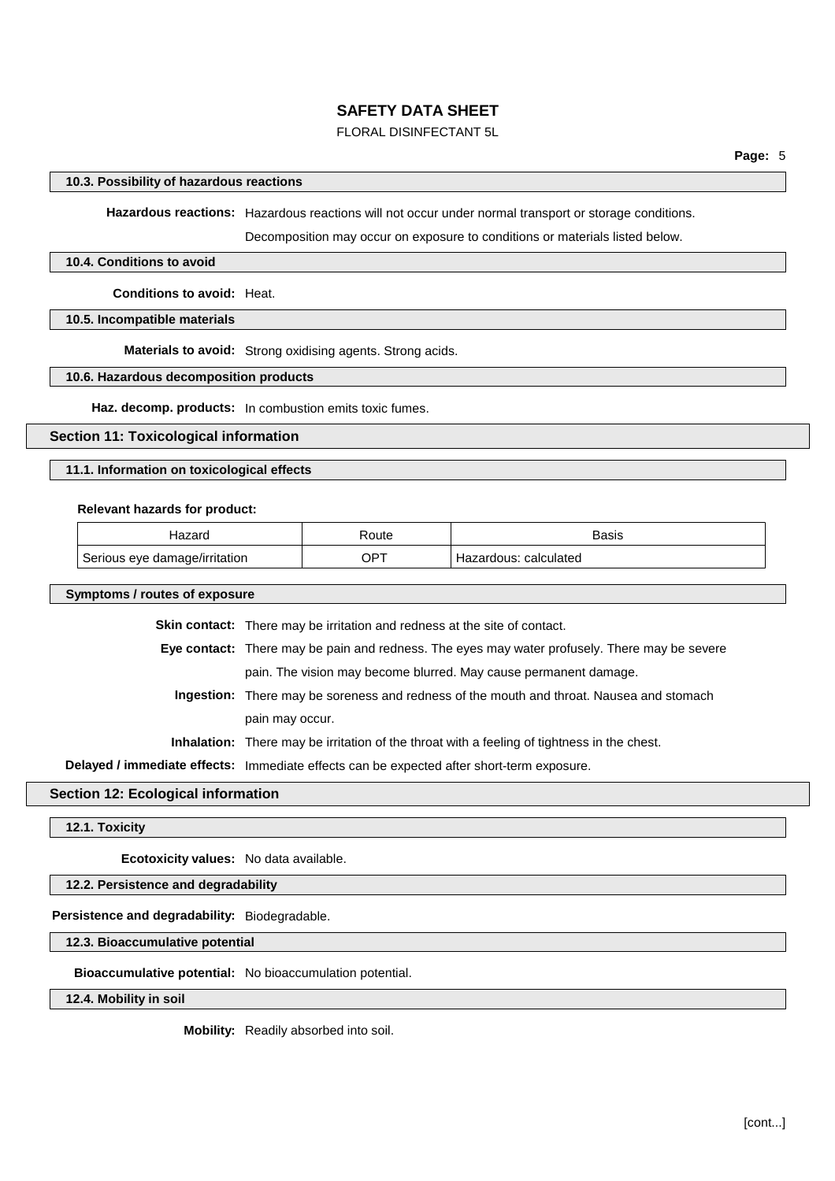## FLORAL DISINFECTANT 5L

#### **10.3. Possibility of hazardous reactions**

**Hazardous reactions:** Hazardous reactions will not occur under normal transport or storage conditions.

Decomposition may occur on exposure to conditions or materials listed below.

### **10.4. Conditions to avoid**

**Conditions to avoid:** Heat.

### **10.5. Incompatible materials**

**Materials to avoid:** Strong oxidising agents. Strong acids.

#### **10.6. Hazardous decomposition products**

**Haz. decomp. products:** In combustion emits toxic fumes.

### **Section 11: Toxicological information**

#### **11.1. Information on toxicological effects**

#### **Relevant hazards for product:**

| 170r<br>ld Zail               | ⊀oute       | Basis                     |
|-------------------------------|-------------|---------------------------|
| Serious eye damage/irritation | $OP^{\tau}$ | calculated<br>-lazardous: |

#### **Symptoms / routes of exposure**

**Skin contact:** There may be irritation and redness at the site of contact. **Eye contact:** There may be pain and redness. The eyes may water profusely. There may be severe pain. The vision may become blurred. May cause permanent damage. **Ingestion:** There may be soreness and redness of the mouth and throat. Nausea and stomach pain may occur. **Inhalation:** There may be irritation of the throat with a feeling of tightness in the chest.

**Delayed / immediate effects:** Immediate effects can be expected after short-term exposure.

#### **Section 12: Ecological information**

**12.1. Toxicity**

**Ecotoxicity values:** No data available.

## **12.2. Persistence and degradability**

#### **Persistence and degradability:** Biodegradable.

#### **12.3. Bioaccumulative potential**

### **Bioaccumulative potential:** No bioaccumulation potential.

**12.4. Mobility in soil**

**Mobility:** Readily absorbed into soil.